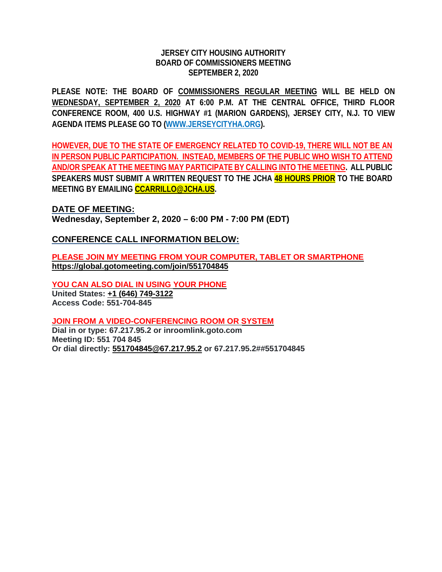## **JERSEY CITY HOUSING AUTHORITY BOARD OF COMMISSIONERS MEETING SEPTEMBER 2, 2020**

**PLEASE NOTE: THE BOARD OF COMMISSIONERS REGULAR MEETING WILL BE HELD ON WEDNESDAY, SEPTEMBER 2, 2020 AT 6:00 P.M. AT THE CENTRAL OFFICE, THIRD FLOOR CONFERENCE ROOM, 400 U.S. HIGHWAY #1 (MARION GARDENS), JERSEY CITY, N.J. TO VIEW AGENDA ITEMS PLEASE GO TO [\(WWW.JE](http://www.j/)RSEYCITYHA.ORG).**

**HOWEVER, DUE TO THE STATE OF EMERGENCY RELATED TO COVID-19, THERE WILL NOT BE AN IN PERSON PUBLIC PARTICIPATION. INSTEAD, MEMBERS OF THE PUBLIC WHO WISH TO ATTEND AND/OR SPEAK AT THE MEETING MAY PARTICIPATE BY CALLING INTO THE MEETING. ALL PUBLIC SPEAKERS MUST SUBMIT A WRITTEN REQUEST TO THE JCHA 48 HOURS PRIOR TO THE BOARD MEETING BY EMAILING CCARRILLO@JCHA.US.**

**DATE OF MEETING:**

**Wednesday, September 2, 2020 – 6:00 PM - 7:00 PM (EDT)**

# **CONFERENCE CALL INFORMATION BELOW:**

**PLEASE JOIN MY MEETING FROM YOUR COMPUTER, TABLET OR SMARTPHONE <https://global.gotomeeting.com/join/551704845>**

**YOU CAN ALSO DIAL IN USING YOUR PHONE United States: +1 (646) [749-3122](tel:+16467493122,,551704845) Access Code: 551-704-845**

**JOIN FROM A VIDEO-CONFERENCING ROOM OR SYSTEM Dial in or type: 67.217.95.2 or inroomlink.goto.com Meeting ID: 551 704 845 Or dial directly: [551704845@67.217.95.2](mailto:551704845@67.217.95.2) or 67.217.95.2##551704845**